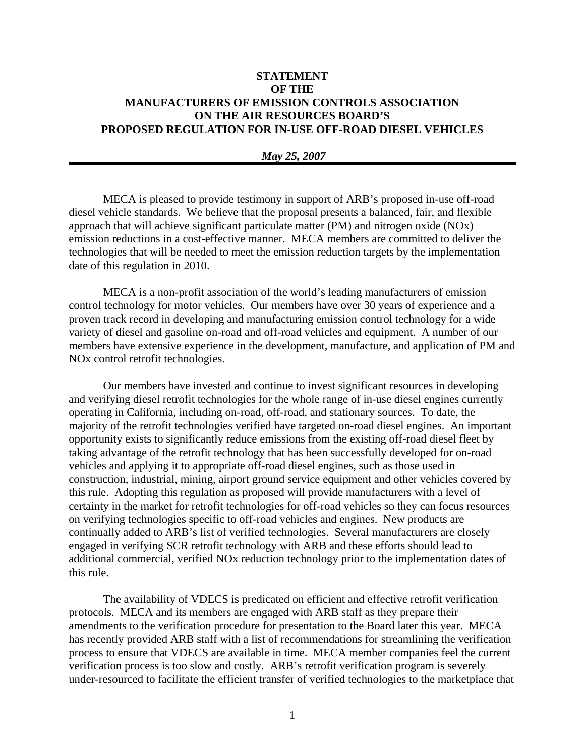# **STATEMENT OF THE MANUFACTURERS OF EMISSION CONTROLS ASSOCIATION ON THE AIR RESOURCES BOARD'S PROPOSED REGULATION FOR IN-USE OFF-ROAD DIESEL VEHICLES**

#### *May 25, 2007*

MECA is pleased to provide testimony in support of ARB's proposed in-use off-road diesel vehicle standards. We believe that the proposal presents a balanced, fair, and flexible approach that will achieve significant particulate matter (PM) and nitrogen oxide (NOx) emission reductions in a cost-effective manner. MECA members are committed to deliver the technologies that will be needed to meet the emission reduction targets by the implementation date of this regulation in 2010.

MECA is a non-profit association of the world's leading manufacturers of emission control technology for motor vehicles. Our members have over 30 years of experience and a proven track record in developing and manufacturing emission control technology for a wide variety of diesel and gasoline on-road and off-road vehicles and equipment. A number of our members have extensive experience in the development, manufacture, and application of PM and NOx control retrofit technologies.

Our members have invested and continue to invest significant resources in developing and verifying diesel retrofit technologies for the whole range of in-use diesel engines currently operating in California, including on-road, off-road, and stationary sources. To date, the majority of the retrofit technologies verified have targeted on-road diesel engines. An important opportunity exists to significantly reduce emissions from the existing off-road diesel fleet by taking advantage of the retrofit technology that has been successfully developed for on-road vehicles and applying it to appropriate off-road diesel engines, such as those used in construction, industrial, mining, airport ground service equipment and other vehicles covered by this rule. Adopting this regulation as proposed will provide manufacturers with a level of certainty in the market for retrofit technologies for off-road vehicles so they can focus resources on verifying technologies specific to off-road vehicles and engines. New products are continually added to ARB's list of verified technologies. Several manufacturers are closely engaged in verifying SCR retrofit technology with ARB and these efforts should lead to additional commercial, verified NOx reduction technology prior to the implementation dates of this rule.

The availability of VDECS is predicated on efficient and effective retrofit verification protocols. MECA and its members are engaged with ARB staff as they prepare their amendments to the verification procedure for presentation to the Board later this year. MECA has recently provided ARB staff with a list of recommendations for streamlining the verification process to ensure that VDECS are available in time. MECA member companies feel the current verification process is too slow and costly. ARB's retrofit verification program is severely under-resourced to facilitate the efficient transfer of verified technologies to the marketplace that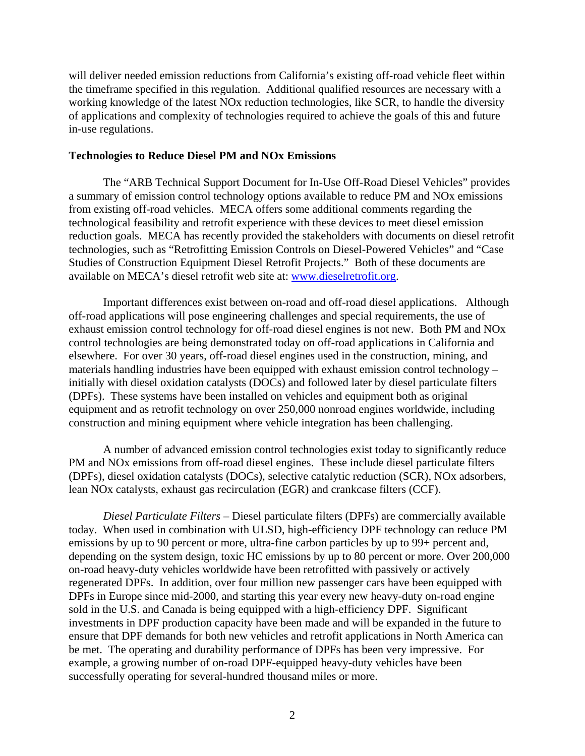will deliver needed emission reductions from California's existing off-road vehicle fleet within the timeframe specified in this regulation. Additional qualified resources are necessary with a working knowledge of the latest NOx reduction technologies, like SCR, to handle the diversity of applications and complexity of technologies required to achieve the goals of this and future in-use regulations.

#### **Technologies to Reduce Diesel PM and NOx Emissions**

The "ARB Technical Support Document for In-Use Off-Road Diesel Vehicles" provides a summary of emission control technology options available to reduce PM and NOx emissions from existing off-road vehicles. MECA offers some additional comments regarding the technological feasibility and retrofit experience with these devices to meet diesel emission reduction goals. MECA has recently provided the stakeholders with documents on diesel retrofit technologies, such as "Retrofitting Emission Controls on Diesel-Powered Vehicles" and "Case Studies of Construction Equipment Diesel Retrofit Projects." Both of these documents are available on MECA's diesel retrofit web site at: [www.dieselretrofit.org.](http://www.dieselretrofit.org/)

Important differences exist between on-road and off-road diesel applications. Although off-road applications will pose engineering challenges and special requirements, the use of exhaust emission control technology for off-road diesel engines is not new. Both PM and NOx control technologies are being demonstrated today on off-road applications in California and elsewhere.For over 30 years, off-road diesel engines used in the construction, mining, and materials handling industries have been equipped with exhaust emission control technology – initially with diesel oxidation catalysts (DOCs) and followed later by diesel particulate filters (DPFs). These systems have been installed on vehicles and equipment both as original equipment and as retrofit technology on over 250,000 nonroad engines worldwide, including construction and mining equipment where vehicle integration has been challenging.

A number of advanced emission control technologies exist today to significantly reduce PM and NOx emissions from off-road diesel engines. These include diesel particulate filters (DPFs), diesel oxidation catalysts (DOCs), selective catalytic reduction (SCR), NOx adsorbers, lean NOx catalysts, exhaust gas recirculation (EGR) and crankcase filters (CCF).

*Diesel Particulate Filters –* Diesel particulate filters (DPFs) are commercially available today. When used in combination with ULSD, high-efficiency DPF technology can reduce PM emissions by up to 90 percent or more, ultra-fine carbon particles by up to 99+ percent and, depending on the system design, toxic HC emissions by up to 80 percent or more. Over 200,000 on-road heavy-duty vehicles worldwide have been retrofitted with passively or actively regenerated DPFs. In addition, over four million new passenger cars have been equipped with DPFs in Europe since mid-2000, and starting this year every new heavy-duty on-road engine sold in the U.S. and Canada is being equipped with a high-efficiency DPF. Significant investments in DPF production capacity have been made and will be expanded in the future to ensure that DPF demands for both new vehicles and retrofit applications in North America can be met. The operating and durability performance of DPFs has been very impressive. For example, a growing number of on-road DPF-equipped heavy-duty vehicles have been successfully operating for several-hundred thousand miles or more.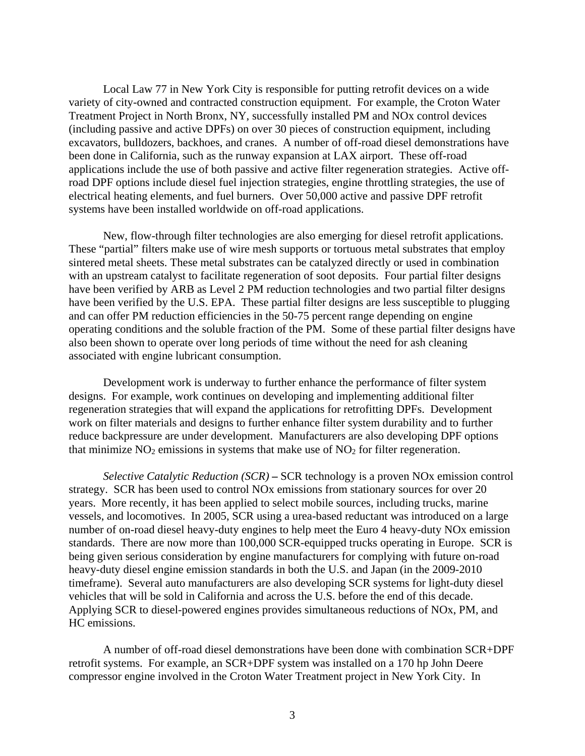Local Law 77 in New York City is responsible for putting retrofit devices on a wide variety of city-owned and contracted construction equipment. For example, the Croton Water Treatment Project in North Bronx, NY, successfully installed PM and NOx control devices (including passive and active DPFs) on over 30 pieces of construction equipment, including excavators, bulldozers, backhoes, and cranes. A number of off-road diesel demonstrations have been done in California, such as the runway expansion at LAX airport. These off-road applications include the use of both passive and active filter regeneration strategies. Active offroad DPF options include diesel fuel injection strategies, engine throttling strategies, the use of electrical heating elements, and fuel burners. Over 50,000 active and passive DPF retrofit systems have been installed worldwide on off-road applications.

New, flow-through filter technologies are also emerging for diesel retrofit applications. These "partial" filters make use of wire mesh supports or tortuous metal substrates that employ sintered metal sheets. These metal substrates can be catalyzed directly or used in combination with an upstream catalyst to facilitate regeneration of soot deposits. Four partial filter designs have been verified by ARB as Level 2 PM reduction technologies and two partial filter designs have been verified by the U.S. EPA. These partial filter designs are less susceptible to plugging and can offer PM reduction efficiencies in the 50-75 percent range depending on engine operating conditions and the soluble fraction of the PM. Some of these partial filter designs have also been shown to operate over long periods of time without the need for ash cleaning associated with engine lubricant consumption.

Development work is underway to further enhance the performance of filter system designs. For example, work continues on developing and implementing additional filter regeneration strategies that will expand the applications for retrofitting DPFs. Development work on filter materials and designs to further enhance filter system durability and to further reduce backpressure are under development. Manufacturers are also developing DPF options that minimize  $NO<sub>2</sub>$  emissions in systems that make use of  $NO<sub>2</sub>$  for filter regeneration.

*Selective Catalytic Reduction (SCR)* **–** SCR technology is a proven NOx emission control strategy. SCR has been used to control NOx emissions from stationary sources for over 20 years. More recently, it has been applied to select mobile sources, including trucks, marine vessels, and locomotives. In 2005, SCR using a urea-based reductant was introduced on a large number of on-road diesel heavy-duty engines to help meet the Euro 4 heavy-duty NOx emission standards. There are now more than 100,000 SCR-equipped trucks operating in Europe. SCR is being given serious consideration by engine manufacturers for complying with future on-road heavy-duty diesel engine emission standards in both the U.S. and Japan (in the 2009-2010 timeframe). Several auto manufacturers are also developing SCR systems for light-duty diesel vehicles that will be sold in California and across the U.S. before the end of this decade. Applying SCR to diesel-powered engines provides simultaneous reductions of NOx, PM, and HC emissions.

A number of off-road diesel demonstrations have been done with combination SCR+DPF retrofit systems. For example, an SCR+DPF system was installed on a 170 hp John Deere compressor engine involved in the Croton Water Treatment project in New York City. In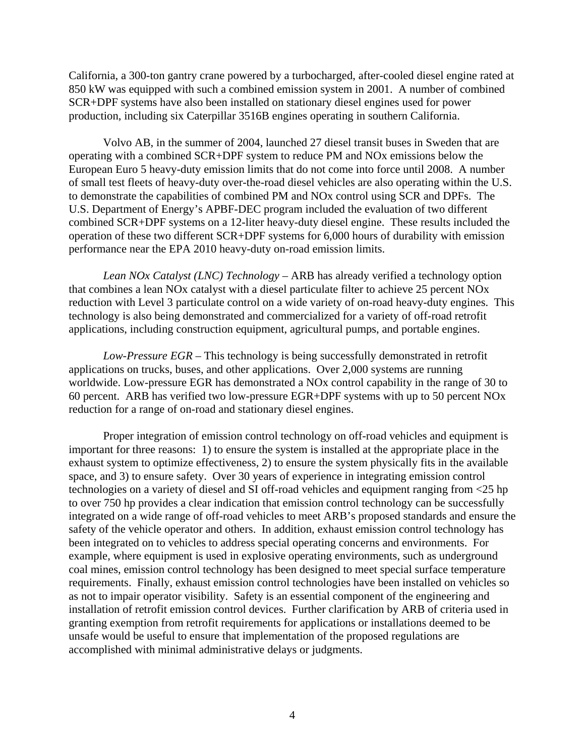California, a 300-ton gantry crane powered by a turbocharged, after-cooled diesel engine rated at 850 kW was equipped with such a combined emission system in 2001. A number of combined SCR+DPF systems have also been installed on stationary diesel engines used for power production, including six Caterpillar 3516B engines operating in southern California.

Volvo AB, in the summer of 2004, launched 27 diesel transit buses in Sweden that are operating with a combined SCR+DPF system to reduce PM and NOx emissions below the European Euro 5 heavy-duty emission limits that do not come into force until 2008. A number of small test fleets of heavy-duty over-the-road diesel vehicles are also operating within the U.S. to demonstrate the capabilities of combined PM and NOx control using SCR and DPFs. The U.S. Department of Energy's APBF-DEC program included the evaluation of two different combined SCR+DPF systems on a 12-liter heavy-duty diesel engine. These results included the operation of these two different SCR+DPF systems for 6,000 hours of durability with emission performance near the EPA 2010 heavy-duty on-road emission limits.

*Lean NOx Catalyst (LNC) Technology* – ARB has already verified a technology option that combines a lean NOx catalyst with a diesel particulate filter to achieve 25 percent NOx reduction with Level 3 particulate control on a wide variety of on-road heavy-duty engines.This technology is also being demonstrated and commercialized for a variety of off-road retrofit applications, including construction equipment, agricultural pumps, and portable engines.

*Low-Pressure EGR* – This technology is being successfully demonstrated in retrofit applications on trucks, buses, and other applications. Over 2,000 systems are running worldwide. Low-pressure EGR has demonstrated a NOx control capability in the range of 30 to 60 percent. ARB has verified two low-pressure EGR+DPF systems with up to 50 percent NOx reduction for a range of on-road and stationary diesel engines.

Proper integration of emission control technology on off-road vehicles and equipment is important for three reasons: 1) to ensure the system is installed at the appropriate place in the exhaust system to optimize effectiveness, 2) to ensure the system physically fits in the available space, and 3) to ensure safety. Over 30 years of experience in integrating emission control technologies on a variety of diesel and SI off-road vehicles and equipment ranging from <25 hp to over 750 hp provides a clear indication that emission control technology can be successfully integrated on a wide range of off-road vehicles to meet ARB's proposed standards and ensure the safety of the vehicle operator and others. In addition, exhaust emission control technology has been integrated on to vehicles to address special operating concerns and environments. For example, where equipment is used in explosive operating environments, such as underground coal mines, emission control technology has been designed to meet special surface temperature requirements. Finally, exhaust emission control technologies have been installed on vehicles so as not to impair operator visibility. Safety is an essential component of the engineering and installation of retrofit emission control devices. Further clarification by ARB of criteria used in granting exemption from retrofit requirements for applications or installations deemed to be unsafe would be useful to ensure that implementation of the proposed regulations are accomplished with minimal administrative delays or judgments.